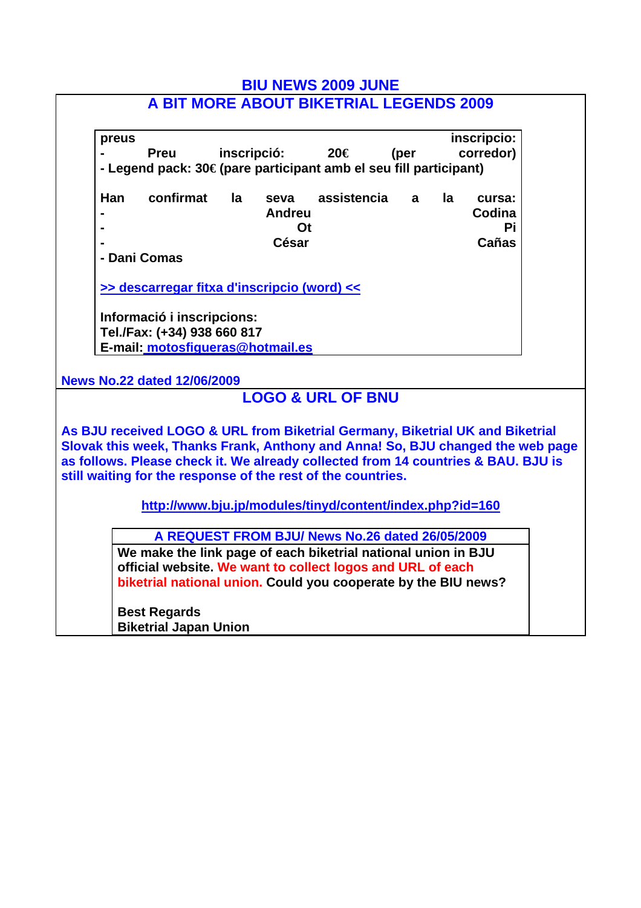| <b>BIU NEWS 2009 JUNE</b>                                                                                                                                                                                                                                                                                            |  |  |  |
|----------------------------------------------------------------------------------------------------------------------------------------------------------------------------------------------------------------------------------------------------------------------------------------------------------------------|--|--|--|
| A BIT MORE ABOUT BIKETRIAL LEGENDS 2009                                                                                                                                                                                                                                                                              |  |  |  |
| inscripcio:<br>preus<br>inscripció:<br>20€<br>corredor)<br>(per<br><b>Preu</b><br>- Legend pack: 30€ (pare participant amb el seu fill participant)                                                                                                                                                                  |  |  |  |
| confirmat<br>Han<br>assistencia<br>la<br>la<br>seva<br>a<br>cursa:<br>Codina<br><b>Andreu</b><br>Ot<br>Рi<br>Cañas<br><b>César</b><br>- Dani Comas                                                                                                                                                                   |  |  |  |
| >> descarregar fitxa d'inscripcio (word) <<                                                                                                                                                                                                                                                                          |  |  |  |
| Informació i inscripcions:<br>Tel./Fax: (+34) 938 660 817<br>E-mail: motosfigueras@hotmail.es                                                                                                                                                                                                                        |  |  |  |
| <b>News No.22 dated 12/06/2009</b>                                                                                                                                                                                                                                                                                   |  |  |  |
| <b>LOGO &amp; URL OF BNU</b>                                                                                                                                                                                                                                                                                         |  |  |  |
| As BJU received LOGO & URL from Biketrial Germany, Biketrial UK and Biketrial<br>Slovak this week, Thanks Frank, Anthony and Anna! So, BJU changed the web page<br>as follows. Please check it. We already collected from 14 countries & BAU. BJU is<br>still waiting for the response of the rest of the countries. |  |  |  |
| http://www.bju.jp/modules/tinyd/content/index.php?id=160                                                                                                                                                                                                                                                             |  |  |  |
| A REQUEST FROM BJU/ News No.26 dated 26/05/2009<br>We make the link page of each biketrial national union in BJU<br>official website. We want to collect logos and URL of each<br>biketrial national union. Could you cooperate by the BIU news?                                                                     |  |  |  |
| <b>Best Regards</b><br><b>Biketrial Japan Union</b>                                                                                                                                                                                                                                                                  |  |  |  |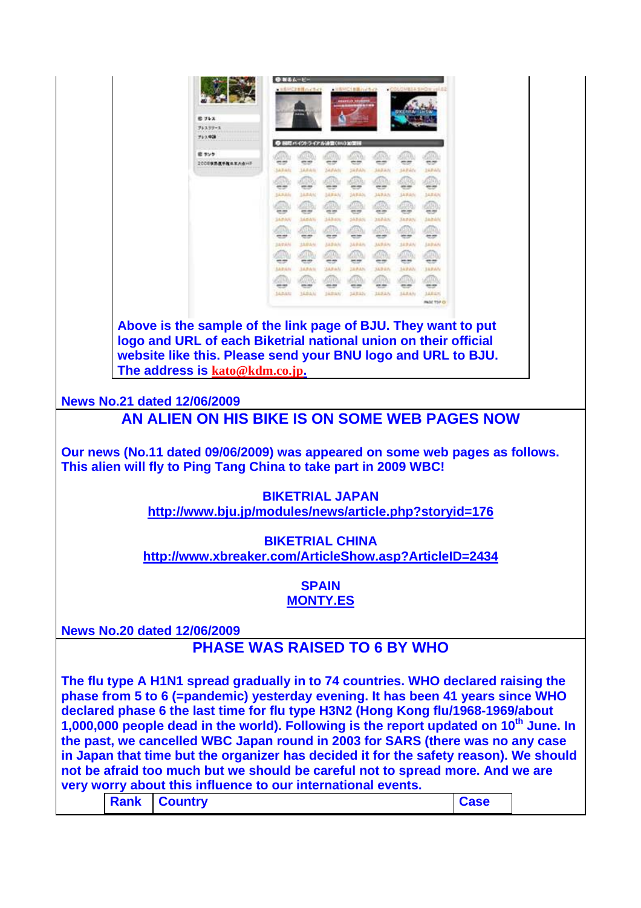